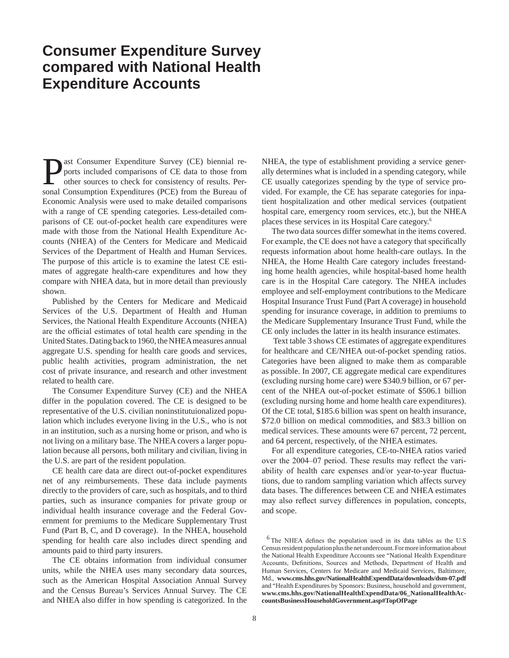## **Consumer Expenditure Survey compared with National Health Expenditure Accounts**

ast Consumer Expenditure Survey (CE) biennial reports included comparisons of CE data to those from other sources to check for consistency of results. Personal Consumption Expenditures (PCE) from the Bureau of Economic Analysis were used to make detailed comparisons with a range of CE spending categories. Less-detailed comparisons of CE out-of-pocket health care expenditures were made with those from the National Health Expenditure Accounts (NHEA) of the Centers for Medicare and Medicaid Services of the Department of Health and Human Services. The purpose of this article is to examine the latest CE estimates of aggregate health-care expenditures and how they compare with NHEA data, but in more detail than previously shown.

Published by the Centers for Medicare and Medicaid Services of the U.S. Department of Health and Human Services, the National Health Expenditure Accounts (NHEA) are the official estimates of total health care spending in the United States. Dating back to 1960, the NHEA measures annual aggregate U.S. spending for health care goods and services, public health activities, program administration, the net cost of private insurance, and research and other investment related to health care.

The Consumer Expenditure Survey (CE) and the NHEA differ in the population covered. The CE is designed to be representative of the U.S. civilian noninstitutuionalized population which includes everyone living in the U.S., who is not in an institution, such as a nursing home or prison, and who is not living on a military base. The NHEA covers a larger population because all persons, both military and civilian, living in the U.S. are part of the resident population.

CE health care data are direct out-of-pocket expenditures net of any reimbursements. These data include payments directly to the providers of care, such as hospitals, and to third parties, such as insurance companies for private group or individual health insurance coverage and the Federal Government for premiums to the Medicare Supplementary Trust Fund (Part B, C, and D coverage). In the NHEA, household spending for health care also includes direct spending and amounts paid to third party insurers.

The CE obtains information from individual consumer units, while the NHEA uses many secondary data sources, such as the American Hospital Association Annual Survey and the Census Bureau's Services Annual Survey. The CE and NHEA also differ in how spending is categorized. In the NHEA, the type of establishment providing a service generally determines what is included in a spending category, while CE usually categorizes spending by the type of service provided. For example, the CE has separate categories for inpatient hospitalization and other medical services (outpatient hospital care, emergency room services, etc.), but the NHEA places these services in its Hospital Care category.6

The two data sources differ somewhat in the items covered. For example, the CE does not have a category that specifically requests information about home health-care outlays. In the NHEA, the Home Health Care category includes freestanding home health agencies, while hospital-based home health care is in the Hospital Care category. The NHEA includes employee and self-employment contributions to the Medicare Hospital Insurance Trust Fund (Part A coverage) in household spending for insurance coverage, in addition to premiums to the Medicare Supplementary Insurance Trust Fund, while the CE only includes the latter in its health insurance estimates.

 Text table 3 shows CE estimates of aggregate expenditures for healthcare and CE/NHEA out-of-pocket spending ratios. Categories have been aligned to make them as comparable as possible. In 2007, CE aggregate medical care expenditures (excluding nursing home care) were \$340.9 billion, or 67 percent of the NHEA out-of-pocket estimate of \$506.1 billion (excluding nursing home and home health care expenditures). Of the CE total, \$185.6 billion was spent on health insurance, \$72.0 billion on medical commodities, and \$83.3 billion on medical services. These amounts were 67 percent, 72 percent, and 64 percent, respectively, of the NHEA estimates.

For all expenditure categories, CE-to-NHEA ratios varied over the 2004–07 period. These results may reflect the variability of health care expenses and/or year-to-year fluctuations, due to random sampling variation which affects survey data bases. The differences between CE and NHEA estimates may also reflect survey differences in population, concepts, and scope.

 $6$ The NHEA defines the population used in its data tables as the U.S Census resident population plus the net undercount. For more information about the National Health Expenditure Accounts see "National Health Expenditure Accounts, Definitions, Sources and Methods, Department of Health and Human Services, Centers for Medicare and Medicaid Services, Baltimore, Md., **www.cms.hhs.gov/NationalHealthExpendData/downloads/dsm-07.pdf**  and "Health Expenditures by Sponsors: Business, household and government, **www.cms.hhs.gov/NationalHealthExpendData/06\_NationalHealthAccountsBusinessHouseholdGovernment.asp#TopOfPage**